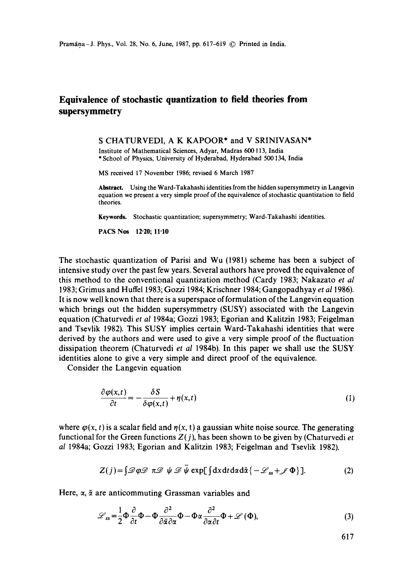## **Equivalence of stochastic quantization to field theories from supersymmetry**

S CHATURVEDI, A K KAPOOR\* and V SRINIVASAN\*

Institute of Mathematical Sciences, Adyar, Madras 600 113, India \* School of Physics, University of Hyderabad, Hyderabad 500 134, India

MS received 17 November 1986; revised 6 March 1987

**Abstract.** Using the Ward-Takahashi identities from the hidden supersymmetry in Langevin equation we present a very simple proof of the equivalence of stochastic quantization to field theories.

**Keywords.** Stochastic quantization; supersymmetry; Ward-Takahashi identities.

**PACS Nos 12-20; II.I0** 

The stochastic quantization of Parisi and Wu (1981) scheme has been a subject of intensive study over the past few years, Several authors have proved the equivalence of this method to the conventional quantization method (Cardy 1983; Nakazato *et al*  1983; Grimus and Huffel 1983; Gozzi 1984; Krischner 1984; Gangopadhyay *et a11986).*  It is now well known that there is a superspace of formulation of the Langevin equation which brings out the hidden supersymmetry (SUSY) associated with the Langevin equation (Chaturvedi *et al* 1984a; Gozzi 1983; Egorian and Kalitzin 1983; Feigelman and Tsevlik 1982). This SUSY implies certain Ward-Takahashi identities that were derived by the authors and were used to give a very simple proof of the fluctuation dissipation theorem (Chaturvedi *et al* 1984b). In this paper we shall use the SUSY identities alone to give a very simple and direct proof of the equivalence.

Consider the Langevin equation

$$
\frac{\partial \varphi(x,t)}{\partial t} = -\frac{\delta S}{\delta \varphi(x,t)} + \eta(x,t) \tag{1}
$$

where  $\varphi(x, t)$  is a scalar field and  $\eta(x, t)$  a gaussian white noise source. The generating functional for the Green functions  $Z(j)$ , has been shown to be given by (Chaturvedi *et*) *al* 1984a; Gozzi 1983; Egorian and Kalitzin 1983; Feigelman and Tsevlik 1982).

$$
Z(j) = \int \mathcal{D}\varphi \mathcal{D} \pi \mathcal{D} \psi \mathcal{D} \psi \exp[\int dx dt d\alpha d\bar{\alpha} \{-\mathcal{L}_{ss} + \mathcal{J} \Phi\}]. \tag{2}
$$

Here,  $\alpha$ ,  $\bar{\alpha}$  are anticommuting Grassman variables and

$$
\mathcal{L}_{ss} = \frac{1}{2} \Phi \frac{\partial}{\partial t} \Phi - \Phi \frac{\partial^2}{\partial \bar{\alpha} \partial \alpha} \Phi - \Phi \alpha \frac{\partial^2}{\partial \alpha \partial t} \Phi + \mathcal{L} \left( \Phi \right), \tag{3}
$$

617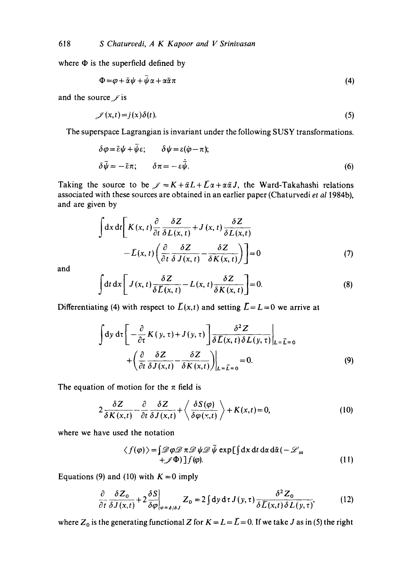where  $\Phi$  is the superfield defined by

$$
\Phi = \varphi + \bar{\alpha}\psi + \psi\alpha + \alpha\tilde{\alpha}\pi \tag{4}
$$

and the source  $\ell$  is

$$
\mathcal{J}(x,t) = j(x)\delta(t). \tag{5}
$$

The superspace Lagrangian is invariant under the following SUSY transformations.

$$
\delta \varphi = \bar{\epsilon} \psi + \psi \epsilon; \qquad \delta \psi = \epsilon (\dot{\varphi} - \pi); \n\delta \bar{\psi} = -\bar{\epsilon} \pi; \qquad \delta \pi = -\epsilon \dot{\bar{\psi}}.
$$
\n(6)

Taking the source to be  $J = K + \bar{\alpha}L + \bar{L}\alpha + \alpha\bar{\alpha}J$ , the Ward-Takahashi relations associated with these sources are obtained in an earlier paper (Chaturvedi *et a11984b),*  and are given by

$$
\int dx dt \left[ K(x, t) \frac{\partial}{\partial t} \frac{\delta Z}{\delta L(x, t)} + J(x, t) \frac{\delta Z}{\delta L(x, t)} - L(x, t) \left( \frac{\partial}{\partial t} \frac{\delta Z}{\delta J(x, t)} - \frac{\delta Z}{\delta K(x, t)} \right) \right] = 0
$$
\n(7)

and

$$
\int dt dx \left[ J(x, t) \frac{\delta Z}{\delta \overline{L}(x, t)} - L(x, t) \frac{\delta Z}{\delta K(x, t)} \right] = 0.
$$
 (8)

Differentiating (4) with respect to  $\bar{L}(x,t)$  and setting  $\bar{L}=L=0$  we arrive at

$$
\int dy \, d\tau \left[ -\frac{\partial}{\partial \tau} K(y, \tau) + J(y, \tau) \right] \frac{\delta^2 Z}{\delta \overline{L}(x, t) \delta L(y, \tau)} \Big|_{L = \overline{L} = 0}
$$
  
+ 
$$
\left( \frac{\partial}{\partial t} \frac{\delta Z}{\delta J(x, t)} - \frac{\delta Z}{\delta K(x, t)} \right) \Big|_{L = \overline{L} = 0} = 0.
$$
 (9)

The equation of motion for the  $\pi$  field is

$$
2\frac{\delta Z}{\delta K(x,t)} - \frac{\partial}{\partial t} \frac{\delta Z}{\delta J(x,t)} + \left\langle \frac{\delta S(\varphi)}{\delta \varphi(x,t)} \right\rangle + K(x,t) = 0, \tag{10}
$$

where we have used the notation

$$
\langle f(\varphi) \rangle = \int \mathcal{D}\varphi \mathcal{D} \pi \mathcal{D} \psi \mathcal{D} \bar{\psi} \exp[\int dx dt d\alpha d\bar{\alpha} (-\mathcal{L}_{ss} + \mathcal{J}\Phi)] f(\varphi).
$$
 (11)

Equations (9) and (10) with  $K = 0$  imply

$$
\frac{\partial}{\partial t} \frac{\delta Z_0}{\delta J(x,t)} + 2 \frac{\delta S}{\delta \varphi}\bigg|_{\varphi = \delta/\delta J} Z_0 = 2 \int dy \, d\tau \, J(y,\tau) \frac{\delta^2 Z_0}{\delta \bar{L}(x,t) \delta L(y,\tau)},\tag{12}
$$

where  $Z_0$  is the generating functional Z for  $K = L = \overline{L} = 0$ . If we take J as in (5) the right